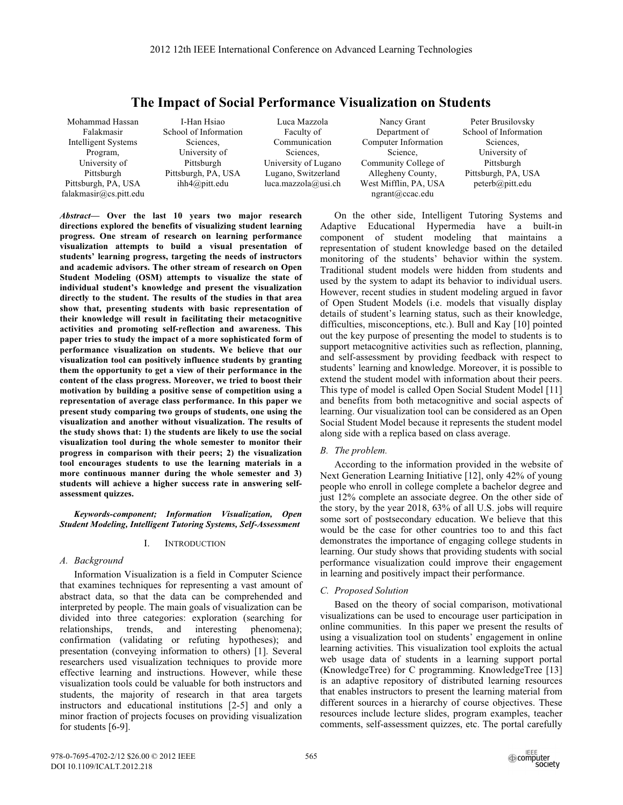# **The Impact of Social Performance Visualization on Students**

Mohammad Hassan Falakmasir Intelligent Systems Program, University of Pittsburgh Pittsburgh, PA, USA falakmasir@cs.pitt.edu

I-Han Hsiao School of Information Sciences, University of Pittsburgh Pittsburgh, PA, USA ihh4@pitt.edu

Luca Mazzola Faculty of Communication Sciences, University of Lugano Lugano, Switzerland luca.mazzola@usi.ch

Nancy Grant Department of Computer Information Science, Community College of Allegheny County, West Mifflin, PA, USA ngrant@ccac.edu

Peter Brusilovsky School of Information Sciences, University of Pittsburgh Pittsburgh, PA, USA peterb@pitt.edu

*Abstract***— Over the last 10 years two major research directions explored the benefits of visualizing student learning progress. One stream of research on learning performance visualization attempts to build a visual presentation of students' learning progress, targeting the needs of instructors and academic advisors. The other stream of research on Open Student Modeling (OSM) attempts to visualize the state of individual student's knowledge and present the visualization directly to the student. The results of the studies in that area show that, presenting students with basic representation of their knowledge will result in facilitating their metacognitive activities and promoting self-reflection and awareness. This paper tries to study the impact of a more sophisticated form of performance visualization on students. We believe that our visualization tool can positively influence students by granting them the opportunity to get a view of their performance in the content of the class progress. Moreover, we tried to boost their motivation by building a positive sense of competition using a representation of average class performance. In this paper we present study comparing two groups of students, one using the visualization and another without visualization. The results of the study shows that: 1) the students are likely to use the social visualization tool during the whole semester to monitor their progress in comparison with their peers; 2) the visualization tool encourages students to use the learning materials in a more continuous manner during the whole semester and 3) students will achieve a higher success rate in answering selfassessment quizzes.** 

*Keywords-component; Information Visualization, Open Student Modeling, Intelligent Tutoring Systems, Self-Assessment* 

#### I. INTRODUCTION

#### *A. Background*

Information Visualization is a field in Computer Science that examines techniques for representing a vast amount of abstract data, so that the data can be comprehended and interpreted by people. The main goals of visualization can be divided into three categories: exploration (searching for relationships, trends, and interesting phenomena); confirmation (validating or refuting hypotheses); and presentation (conveying information to others) [1]. Several researchers used visualization techniques to provide more effective learning and instructions. However, while these visualization tools could be valuable for both instructors and students, the majority of research in that area targets instructors and educational institutions [2-5] and only a minor fraction of projects focuses on providing visualization for students [6-9].

On the other side, Intelligent Tutoring Systems and Adaptive Educational Hypermedia have a built-in component of student modeling that maintains a representation of student knowledge based on the detailed monitoring of the students' behavior within the system. Traditional student models were hidden from students and used by the system to adapt its behavior to individual users. However, recent studies in student modeling argued in favor of Open Student Models (i.e. models that visually display details of student's learning status, such as their knowledge, difficulties, misconceptions, etc.). Bull and Kay [10] pointed out the key purpose of presenting the model to students is to support metacognitive activities such as reflection, planning, and self-assessment by providing feedback with respect to students' learning and knowledge. Moreover, it is possible to extend the student model with information about their peers. This type of model is called Open Social Student Model [11] and benefits from both metacognitive and social aspects of learning. Our visualization tool can be considered as an Open Social Student Model because it represents the student model along side with a replica based on class average.

## *B. The problem.*

According to the information provided in the website of Next Generation Learning Initiative [12], only 42% of young people who enroll in college complete a bachelor degree and just 12% complete an associate degree. On the other side of the story, by the year 2018, 63% of all U.S. jobs will require some sort of postsecondary education. We believe that this would be the case for other countries too to and this fact demonstrates the importance of engaging college students in learning. Our study shows that providing students with social performance visualization could improve their engagement in learning and positively impact their performance.

#### *C. Proposed Solution*

Based on the theory of social comparison, motivational visualizations can be used to encourage user participation in online communities. In this paper we present the results of using a visualization tool on students' engagement in online learning activities. This visualization tool exploits the actual web usage data of students in a learning support portal (KnowledgeTree) for C programming. KnowledgeTree [13] is an adaptive repository of distributed learning resources that enables instructors to present the learning material from different sources in a hierarchy of course objectives. These resources include lecture slides, program examples, teacher comments, self-assessment quizzes, etc. The portal carefully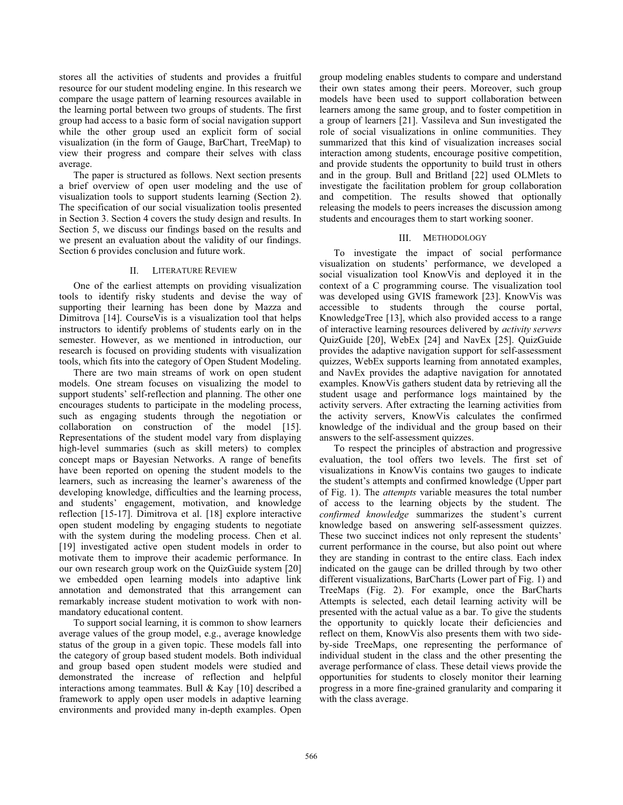stores all the activities of students and provides a fruitful resource for our student modeling engine. In this research we compare the usage pattern of learning resources available in the learning portal between two groups of students. The first group had access to a basic form of social navigation support while the other group used an explicit form of social visualization (in the form of Gauge, BarChart, TreeMap) to view their progress and compare their selves with class average.

The paper is structured as follows. Next section presents a brief overview of open user modeling and the use of visualization tools to support students learning (Section 2). The specification of our social visualization toolis presented in Section 3. Section 4 covers the study design and results. In Section 5, we discuss our findings based on the results and we present an evaluation about the validity of our findings. Section 6 provides conclusion and future work.

# II. LITERATURE REVIEW

One of the earliest attempts on providing visualization tools to identify risky students and devise the way of supporting their learning has been done by Mazza and Dimitrova [14]. CourseVis is a visualization tool that helps instructors to identify problems of students early on in the semester. However, as we mentioned in introduction, our research is focused on providing students with visualization tools, which fits into the category of Open Student Modeling.

There are two main streams of work on open student models. One stream focuses on visualizing the model to support students' self-reflection and planning. The other one encourages students to participate in the modeling process, such as engaging students through the negotiation or collaboration on construction of the model [15]. Representations of the student model vary from displaying high-level summaries (such as skill meters) to complex concept maps or Bayesian Networks. A range of benefits have been reported on opening the student models to the learners, such as increasing the learner's awareness of the developing knowledge, difficulties and the learning process, and students' engagement, motivation, and knowledge reflection [15-17]. Dimitrova et al. [18] explore interactive open student modeling by engaging students to negotiate with the system during the modeling process. Chen et al. [19] investigated active open student models in order to motivate them to improve their academic performance. In our own research group work on the QuizGuide system [20] we embedded open learning models into adaptive link annotation and demonstrated that this arrangement can remarkably increase student motivation to work with nonmandatory educational content.

To support social learning, it is common to show learners average values of the group model, e.g., average knowledge status of the group in a given topic. These models fall into the category of group based student models. Both individual and group based open student models were studied and demonstrated the increase of reflection and helpful interactions among teammates. Bull & Kay [10] described a framework to apply open user models in adaptive learning environments and provided many in-depth examples. Open group modeling enables students to compare and understand their own states among their peers. Moreover, such group models have been used to support collaboration between learners among the same group, and to foster competition in a group of learners [21]. Vassileva and Sun investigated the role of social visualizations in online communities. They summarized that this kind of visualization increases social interaction among students, encourage positive competition, and provide students the opportunity to build trust in others and in the group. Bull and Britland [22] used OLMlets to investigate the facilitation problem for group collaboration and competition. The results showed that optionally releasing the models to peers increases the discussion among students and encourages them to start working sooner.

# III. METHODOLOGY

To investigate the impact of social performance visualization on students' performance, we developed a social visualization tool KnowVis and deployed it in the context of a C programming course. The visualization tool was developed using GVIS framework [23]. KnowVis was accessible to students through the course portal, KnowledgeTree [13], which also provided access to a range of interactive learning resources delivered by *activity servers* QuizGuide [20], WebEx [24] and NavEx [25]. QuizGuide provides the adaptive navigation support for self-assessment quizzes, WebEx supports learning from annotated examples, and NavEx provides the adaptive navigation for annotated examples. KnowVis gathers student data by retrieving all the student usage and performance logs maintained by the activity servers. After extracting the learning activities from the activity servers, KnowVis calculates the confirmed knowledge of the individual and the group based on their answers to the self-assessment quizzes.

To respect the principles of abstraction and progressive evaluation, the tool offers two levels. The first set of visualizations in KnowVis contains two gauges to indicate the student's attempts and confirmed knowledge (Upper part of Fig. 1). The *attempts* variable measures the total number of access to the learning objects by the student. The *confirmed knowledge* summarizes the student's current knowledge based on answering self-assessment quizzes. These two succinct indices not only represent the students' current performance in the course, but also point out where they are standing in contrast to the entire class. Each index indicated on the gauge can be drilled through by two other different visualizations, BarCharts (Lower part of Fig. 1) and TreeMaps (Fig. 2). For example, once the BarCharts Attempts is selected, each detail learning activity will be presented with the actual value as a bar. To give the students the opportunity to quickly locate their deficiencies and reflect on them, KnowVis also presents them with two sideby-side TreeMaps, one representing the performance of individual student in the class and the other presenting the average performance of class. These detail views provide the opportunities for students to closely monitor their learning progress in a more fine-grained granularity and comparing it with the class average.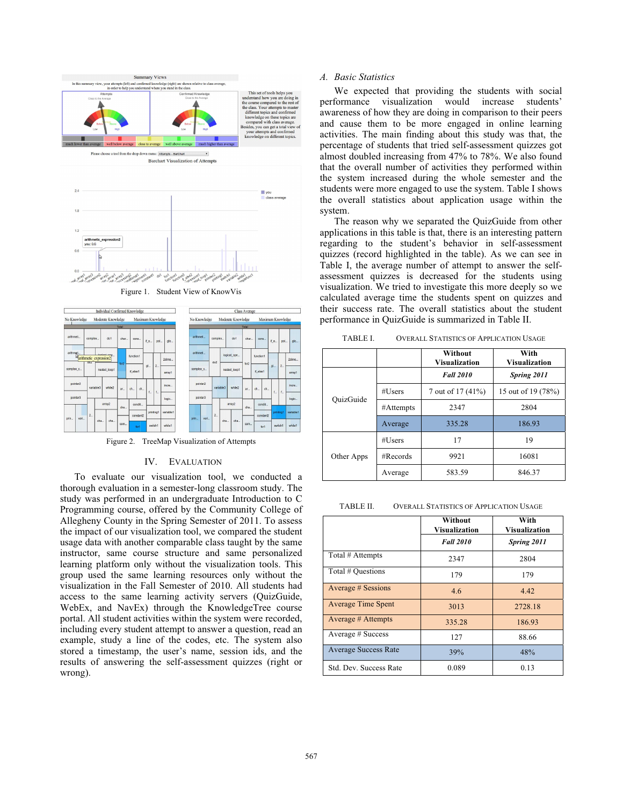



Figure 2. TreeMap Visualization of Attempts

#### IV. EVALUATION

To evaluate our visualization tool, we conducted a thorough evaluation in a semester-long classroom study. The study was performed in an undergraduate Introduction to C Programming course, offered by the Community College of Allegheny County in the Spring Semester of 2011. To assess the impact of our visualization tool, we compared the student usage data with another comparable class taught by the same instructor, same course structure and same personalized learning platform only without the visualization tools. This group used the same learning resources only without the visualization in the Fall Semester of 2010. All students had access to the same learning activity servers (QuizGuide, WebEx, and NavEx) through the KnowledgeTree course portal. All student activities within the system were recorded, including every student attempt to answer a question, read an example, study a line of the codes, etc. The system also stored a timestamp, the user's name, session ids, and the results of answering the self-assessment quizzes (right or wrong).

## *A. Basic Statistics*

We expected that providing the students with social performance visualization would increase students' awareness of how they are doing in comparison to their peers and cause them to be more engaged in online learning activities. The main finding about this study was that, the percentage of students that tried self-assessment quizzes got almost doubled increasing from 47% to 78%. We also found that the overall number of activities they performed within the system increased during the whole semester and the students were more engaged to use the system. Table I shows the overall statistics about application usage within the system.

The reason why we separated the QuizGuide from other applications in this table is that, there is an interesting pattern regarding to the student's behavior in self-assessment quizzes (record highlighted in the table). As we can see in Table I, the average number of attempt to answer the selfassessment quizzes is decreased for the students using visualization. We tried to investigate this more deeply so we calculated average time the students spent on quizzes and their success rate. The overall statistics about the student performance in QuizGuide is summarized in Table II.

TABLE I. OVERALL STATISTICS OF APPLICATION USAGE

|            |              | Without<br><b>Visualization</b> | With<br><b>Visualization</b> |
|------------|--------------|---------------------------------|------------------------------|
| OuizGuide  |              | <b>Fall 2010</b>                | Spring 2011                  |
|            | #Users       | 7 out of 17 (41%)               | 15 out of 19 (78%)           |
|            | #Attempts    | 2347                            | 2804                         |
|            | Average      | 335.28                          | 186.93                       |
| Other Apps | #Users       | 17                              | 19                           |
|            | $\# Records$ | 9921                            | 16081                        |
|            | Average      | 583.59                          | 846.37                       |

TABLE II. OVERALL STATISTICS OF APPLICATION USAGE

|                             | Without<br>Visualization | With<br>Visualization |
|-----------------------------|--------------------------|-----------------------|
|                             | <b>Fall 2010</b>         | Spring 2011           |
| Total # Attempts            | 2347                     | 2804                  |
| Total # Questions           | 179                      | 179                   |
| <b>Average # Sessions</b>   | 4.6                      | 4.42                  |
| <b>Average Time Spent</b>   | 3013                     | 2728.18               |
| <b>Average # Attempts</b>   | 335.28                   | 186.93                |
| Average # Success           | 127                      | 88.66                 |
| <b>Average Success Rate</b> | 39%                      | 48%                   |
| Std. Dev. Success Rate      | 0.089                    | 0.13                  |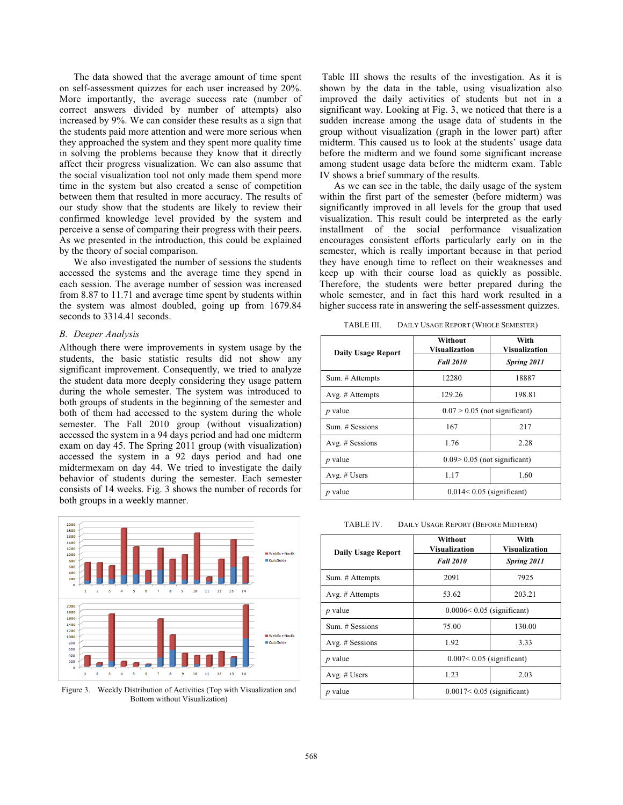The data showed that the average amount of time spent on self-assessment quizzes for each user increased by 20%. More importantly, the average success rate (number of correct answers divided by number of attempts) also increased by 9%. We can consider these results as a sign that the students paid more attention and were more serious when they approached the system and they spent more quality time in solving the problems because they know that it directly affect their progress visualization. We can also assume that the social visualization tool not only made them spend more time in the system but also created a sense of competition between them that resulted in more accuracy. The results of our study show that the students are likely to review their confirmed knowledge level provided by the system and perceive a sense of comparing their progress with their peers. As we presented in the introduction, this could be explained by the theory of social comparison.

We also investigated the number of sessions the students accessed the systems and the average time they spend in each session. The average number of session was increased from 8.87 to 11.71 and average time spent by students within the system was almost doubled, going up from 1679.84 seconds to 3314.41 seconds.

# *B. Deeper Analysis*

Although there were improvements in system usage by the students, the basic statistic results did not show any significant improvement. Consequently, we tried to analyze the student data more deeply considering they usage pattern during the whole semester. The system was introduced to both groups of students in the beginning of the semester and both of them had accessed to the system during the whole semester. The Fall 2010 group (without visualization) accessed the system in a 94 days period and had one midterm exam on day 45. The Spring 2011 group (with visualization) accessed the system in a 92 days period and had one midtermexam on day 44. We tried to investigate the daily behavior of students during the semester. Each semester consists of 14 weeks. Fig. 3 shows the number of records for both groups in a weekly manner.



Figure 3. Weekly Distribution of Activities (Top with Visualization and Bottom without Visualization)

 Table III shows the results of the investigation. As it is shown by the data in the table, using visualization also improved the daily activities of students but not in a significant way. Looking at Fig. 3, we noticed that there is a sudden increase among the usage data of students in the group without visualization (graph in the lower part) after midterm. This caused us to look at the students' usage data before the midterm and we found some significant increase among student usage data before the midterm exam. Table IV shows a brief summary of the results.

As we can see in the table, the daily usage of the system within the first part of the semester (before midterm) was significantly improved in all levels for the group that used visualization. This result could be interpreted as the early installment of the social performance visualization encourages consistent efforts particularly early on in the semester, which is really important because in that period they have enough time to reflect on their weaknesses and keep up with their course load as quickly as possible. Therefore, the students were better prepared during the whole semester, and in fact this hard work resulted in a higher success rate in answering the self-assessment quizzes.

TABLE III. DAILY USAGE REPORT (WHOLE SEMESTER)

| <b>Daily Usage Report</b> | Without<br><b>Visualization</b> | With<br>Visualization |
|---------------------------|---------------------------------|-----------------------|
|                           | <b>Fall 2010</b>                | Spring 2011           |
| Sum. # Attempts           | 12280                           | 18887                 |
| Avg. $#$ Attempts         | 129.26                          | 198.81                |
| $p$ value                 | $0.07 > 0.05$ (not significant) |                       |
| Sum. # Sessions           | 167                             | 217                   |
| Avg. # Sessions           | 1.76                            | 2.28                  |
| $p$ value                 | $0.09 > 0.05$ (not significant) |                       |
| Avg. $#$ Users            | 1.17                            | 1.60                  |
| $p$ value                 | $0.014<0.05$ (significant)      |                       |

TABLE IV. DAILY USAGE REPORT (BEFORE MIDTERM)

| <b>Daily Usage Report</b> | Without<br>Visualization      | With<br>Visualization |
|---------------------------|-------------------------------|-----------------------|
|                           | <b>Fall 2010</b>              | Spring 2011           |
| Sum. # Attempts           | 2091                          | 7925                  |
| Avg. $#$ Attempts         | 53.62                         | 203.21                |
| $p$ value                 | $0.0006 < 0.05$ (significant) |                       |
| Sum. # Sessions           | 75.00                         | 130.00                |
| Avg. # Sessions           | 1.92                          | 3.33                  |
| $p$ value                 | $0.007< 0.05$ (significant)   |                       |
| Avg. $#$ Users            | 1.23                          | 2.03                  |
| value                     | $0.0017< 0.05$ (significant)  |                       |